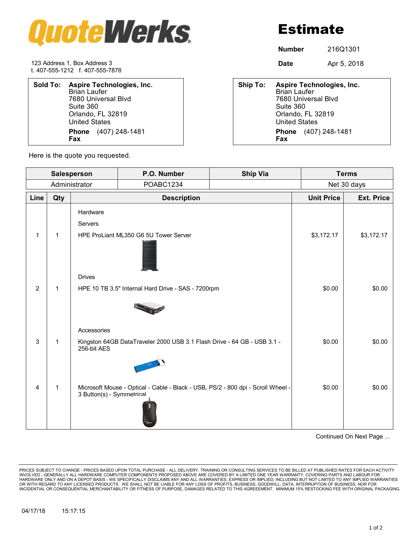

Estimate

**Number** 216Q1301

123 Address 1, Box Address 3 **Date** Apr 5, 2018 t. 407-555-1212 f. 407-555-7878

| Sold To: Aspire Technologies, Inc.<br><b>Brian Laufer</b><br>7680 Universal Blvd<br>Suite 360<br>Orlando, FL 32819<br><b>United States</b> | Ship To: | <b>Aspire Technologies, Inc.</b><br><b>Brian Laufer</b><br>7680 Universal Blyd<br>Suite 360<br>Orlando, FL 32819<br><b>United States</b> |
|--------------------------------------------------------------------------------------------------------------------------------------------|----------|------------------------------------------------------------------------------------------------------------------------------------------|
| (407) 248-1481<br><b>Phone</b><br><b>Fax</b>                                                                                               |          | (407) 248-1481<br><b>Phone</b><br>Fax                                                                                                    |

| Ship To: Aspire Technologies, Inc.<br><b>Brian Laufer</b><br>7680 Universal Blvd<br>Suite 360<br>Orlando, FL 32819 |
|--------------------------------------------------------------------------------------------------------------------|
| <b>United States</b>                                                                                               |
| <b>Phone</b> (407) 248-1481<br><b>Fax</b>                                                                          |
|                                                                                                                    |

Here is the quote you requested.

| Salesperson    |              |                           | P.O. Number                                                                      | <b>Ship Via</b> |                   | <b>Terms</b>      |  |
|----------------|--------------|---------------------------|----------------------------------------------------------------------------------|-----------------|-------------------|-------------------|--|
| Administrator  |              |                           | POABC1234                                                                        |                 | Net 30 days       |                   |  |
| Line           | Qty          | <b>Description</b>        |                                                                                  |                 | <b>Unit Price</b> | <b>Ext. Price</b> |  |
|                |              | Hardware<br>Servers       |                                                                                  |                 |                   |                   |  |
| 1              | $\mathbf{1}$ |                           | HPE ProLiant ML350 G6 5U Tower Server                                            |                 | \$3,172.17        | \$3,172.17        |  |
|                |              | <b>Drives</b>             |                                                                                  |                 |                   |                   |  |
| $\overline{2}$ | $\mathbf{1}$ |                           | HPE 10 TB 3.5" Internal Hard Drive - SAS - 7200rpm                               |                 | \$0.00            | \$0.00            |  |
|                |              | Accessories               |                                                                                  |                 |                   |                   |  |
| 3              | $\mathbf{1}$ | 256-bit AES               | Kingston 64GB DataTraveler 2000 USB 3.1 Flash Drive - 64 GB - USB 3.1 -          |                 | \$0.00            | \$0.00            |  |
|                |              |                           |                                                                                  |                 |                   |                   |  |
| $\overline{4}$ | $\mathbf{1}$ | 3 Button(s) - Symmetrical | Microsoft Mouse - Optical - Cable - Black - USB, PS/2 - 800 dpi - Scroll Wheel - |                 | \$0.00            | \$0.00            |  |

Continued On Next Page ...

PRICES SUBJECT TO CHANGE - PRICES BASED UPON TOTAL PURCHASE - ALL DELIVERY, TRAINING OR CONSULTING SERVICES TO BE BILLED AT PUBLISHED RATES FOR EACH ACTIVITY<br>INVOLVED - GENERALLY ALL HARDWARE COMPUTER COMPONENTS PROPOSED A INCIDENTIAL OR CONSEQUENTIAL MERCHANTABILITY OR FITNESS OF PURPOSE, DAMAGES RELATED TO THIS AGREEEMENT. MINIMUM 15% RESTOCKING FEE WITH ORIGINAL PACKAGING.